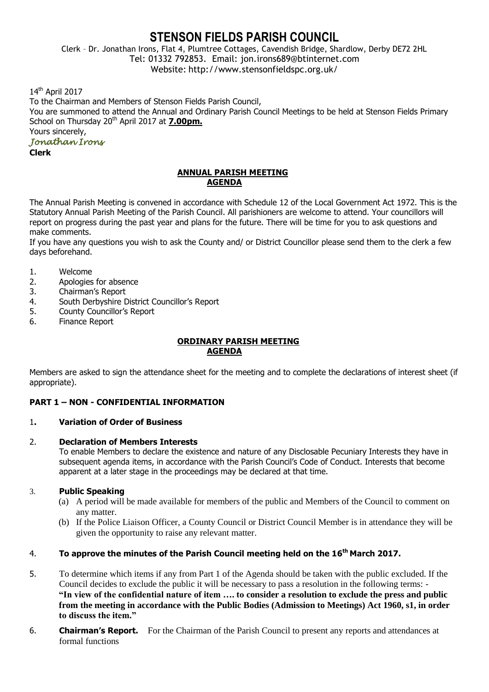# **STENSON FIELDS PARISH COUNCIL**

Clerk – Dr. Jonathan Irons, Flat 4, Plumtree Cottages, Cavendish Bridge, Shardlow, Derby DE72 2HL Tel: 01332 792853. Email: jon.irons689@btinternet.com Website: http://www.stensonfieldspc.org.uk/

14<sup>th</sup> April 2017

To the Chairman and Members of Stenson Fields Parish Council, You are summoned to attend the Annual and Ordinary Parish Council Meetings to be held at Stenson Fields Primary School on Thursday 20<sup>th</sup> April 2017 at **7.00pm.** Yours sincerely,

# *Jonathan Irons*

**Clerk**

### **ANNUAL PARISH MEETING AGENDA**

The Annual Parish Meeting is convened in accordance with Schedule 12 of the Local Government Act 1972. This is the Statutory Annual Parish Meeting of the Parish Council. All parishioners are welcome to attend. Your councillors will report on progress during the past year and plans for the future. There will be time for you to ask questions and make comments.

If you have any questions you wish to ask the County and/ or District Councillor please send them to the clerk a few days beforehand.

- 1. Welcome
- 2. Apologies for absence
- 3. Chairman's Report
- 4. South Derbyshire District Councillor's Report
- 5. County Councillor's Report
- 6. Finance Report

#### **ORDINARY PARISH MEETING AGENDA**

Members are asked to sign the attendance sheet for the meeting and to complete the declarations of interest sheet (if appropriate).

# **PART 1 – NON - CONFIDENTIAL INFORMATION**

# 1**. Variation of Order of Business**

### 2. **Declaration of Members Interests**

To enable Members to declare the existence and nature of any Disclosable Pecuniary Interests they have in subsequent agenda items, in accordance with the Parish Council's Code of Conduct. Interests that become apparent at a later stage in the proceedings may be declared at that time.

# 3. **Public Speaking**

- (a) A period will be made available for members of the public and Members of the Council to comment on any matter.
- (b) If the Police Liaison Officer, a County Council or District Council Member is in attendance they will be given the opportunity to raise any relevant matter.

# 4. **To approve the minutes of the Parish Council meeting held on the 16th March 2017.**

- 5. To determine which items if any from Part 1 of the Agenda should be taken with the public excluded. If the Council decides to exclude the public it will be necessary to pass a resolution in the following terms: - **"In view of the confidential nature of item …. to consider a resolution to exclude the press and public from the meeting in accordance with the Public Bodies (Admission to Meetings) Act 1960, s1, in order to discuss the item."**
- 6. **Chairman's Report.** For the Chairman of the Parish Council to present any reports and attendances at formal functions